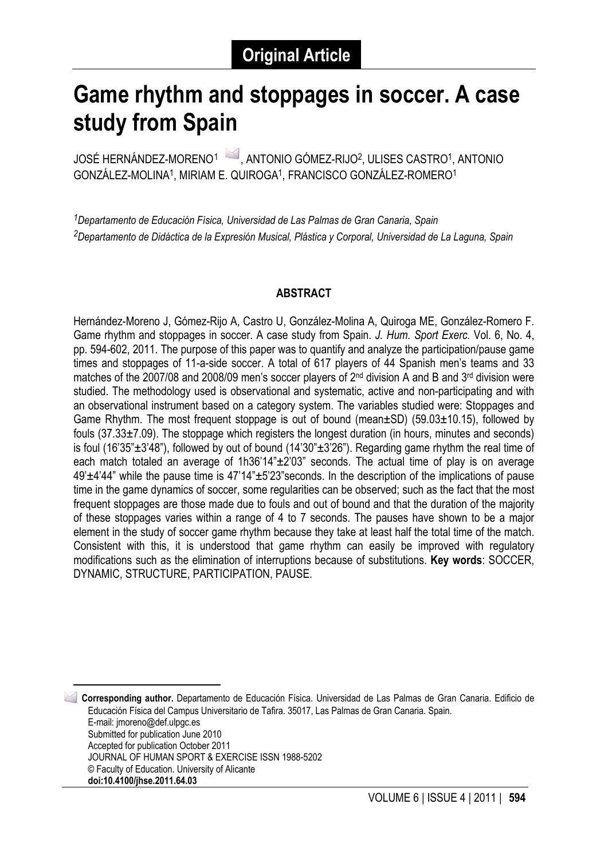# **Game rhythm and stoppages in soccer. A case study from Spain**

JOSÉ HERNÁNDEZ-MORENO<sup>1</sup> , ANTONIO GÓMEZ-RIJO<sup>2</sup>, ULISES CASTRO<sup>1</sup>, ANTONIO GONZÁLEZ-MOLINA1, MIRIAM E. QUIROGA1, FRANCISCO GONZÁLEZ-ROMERO1

*1Departamento de Educación Física, Universidad de Las Palmas de Gran Canaria, Spain 2Departamento de Didáctica de la Expresión Musical, Plástica y Corporal, Universidad de La Laguna, Spain*

#### **ABSTRACT**

Hernández-Moreno J, Gómez-Rijo A, Castro U, González-Molina A, Quiroga ME, González-Romero F. Game rhythm and stoppages in soccer. A case study from Spain. *J. Hum. Sport Exerc.* Vol. 6, No. 4, pp. 594-602, 2011. The purpose of this paper was to quantify and analyze the participation/pause game times and stoppages of 11-a-side soccer. A total of 617 players of 44 Spanish men's teams and 33 matches of the 2007/08 and 2008/09 men's soccer players of 2nd division A and B and 3rd division were studied. The methodology used is observational and systematic, active and non-participating and with an observational instrument based on a category system. The variables studied were: Stoppages and Game Rhythm. The most frequent stoppage is out of bound (mean±SD) (59.03±10.15), followed by fouls (37.33±7.09). The stoppage which registers the longest duration (in hours, minutes and seconds) is foul (16'35" $\pm$ 3'48"), followed by out of bound (14'30" $\pm$ 3'26"). Regarding game rhythm the real time of each match totaled an average of 1h36'14" $\pm$ 2'03" seconds. The actual time of play is on average 49'±4'44" while the pause time is 47'14"±5'23"seconds. In the description of the implications of pause time in the game dynamics of soccer, some regularities can be observed; such as the fact that the most frequent stoppages are those made due to fouls and out of bound and that the duration of the majority of these stoppages varies within a range of 4 to 7 seconds. The pauses have shown to be a major element in the study of soccer game rhythm because they take at least half the total time of the match. Consistent with this, it is understood that game rhythm can easily be improved with regulatory modifications such as the elimination of interruptions because of substitutions. **Key words**: SOCCER, DYNAMIC, STRUCTURE, PARTICIPATION, PAUSE.

<span id="page-0-0"></span> 1 **Corresponding author.** Departamento de Educación Física. Universidad de Las Palmas de Gran Canaria. Edificio de Educación Física del Campus Universitario de Tafira. 35017, Las Palmas de Gran Canaria. Spain. E-mail: jmoreno@def.ulpgc.es Submitted for publication June 2010 Accepted for publication October 2011 JOURNAL OF HUMAN SPORT & EXERCISE ISSN 1988-5202 © Faculty of Education. University of Alicante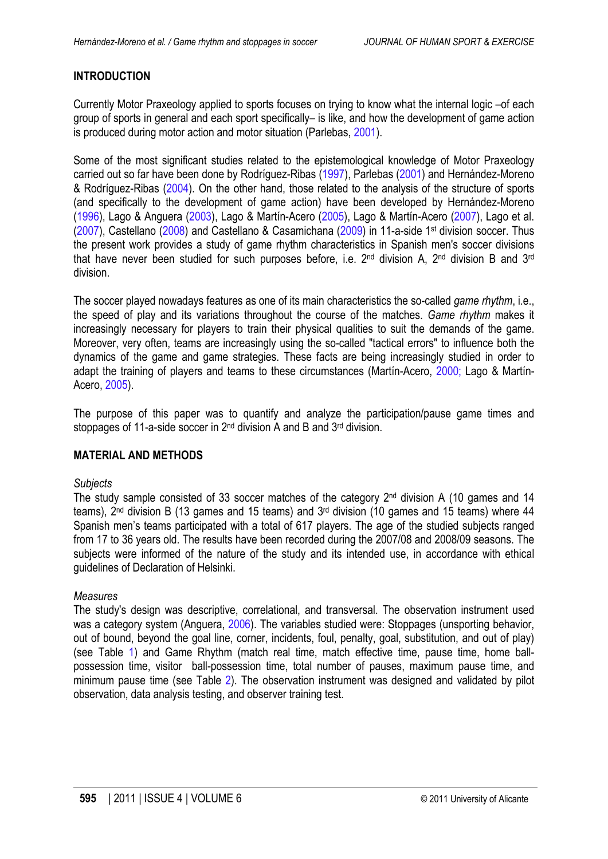# <span id="page-1-0"></span>**INTRODUCTION**

Currently Motor Praxeology applied to sports focuses on trying to know what the internal logic –of each group of sports in general and each sport specifically– is like, and how the development of game action is produced during motor action and motor situation (Parlebas, [2001](#page-8-0)).

Some of the most significant studies related to the epistemological knowledge of Motor Praxeology carried out so far have been done by Rodríguez-Ribas ([1997\)](#page-8-0), Parlebas [\(2001](#page-8-0)) and Hernández-Moreno & Rodríguez-Ribas ([2004\)](#page-8-0). On the other hand, those related to the analysis of the structure of sports (and specifically to the development of game action) have been developed by Hernández-Moreno [\(1996](#page-8-0)), Lago & Anguera [\(2003](#page-8-0)), Lago & Martín-Acero [\(2005](#page-8-0)), Lago & Martín-Acero ([2007\)](#page-8-0), Lago et al. [\(2007](#page-8-0)), Castellano [\(2008](#page-8-0)) and Castellano & Casamichana [\(2009](#page-8-0)) in 11-a-side 1st division soccer. Thus the present work provides a study of game rhythm characteristics in Spanish men's soccer divisions that have never been studied for such purposes before, i.e. 2<sup>nd</sup> division A, 2<sup>nd</sup> division B and 3<sup>rd</sup> division.

The soccer played nowadays features as one of its main characteristics the so-called *game rhythm*, i.e., the speed of play and its variations throughout the course of the matches. *Game rhythm* makes it increasingly necessary for players to train their physical qualities to suit the demands of the game. Moreover, very often, teams are increasingly using the so-called "tactical errors" to influence both the dynamics of the game and game strategies. These facts are being increasingly studied in order to adapt the training of players and teams to these circumstances (Martín-Acero, [2000](#page-8-0); Lago & Martín-Acero, [2005](#page-8-0)).

The purpose of this paper was to quantify and analyze the participation/pause game times and stoppages of 11-a-side soccer in 2<sup>nd</sup> division A and B and 3<sup>rd</sup> division.

## **MATERIAL AND METHODS**

## *Subjects*

The study sample consisted of 33 soccer matches of the category 2<sup>nd</sup> division A (10 games and 14 teams), 2nd division B (13 games and 15 teams) and 3rd division (10 games and 15 teams) where 44 Spanish men's teams participated with a total of 617 players. The age of the studied subjects ranged from 17 to 36 years old. The results have been recorded during the 2007/08 and 2008/09 seasons. The subjects were informed of the nature of the study and its intended use, in accordance with ethical guidelines of Declaration of Helsinki.

## *Measures*

The study's design was descriptive, correlational, and transversal. The observation instrument used was a category system (Anguera, [2006](#page-8-0)). The variables studied were: Stoppages (unsporting behavior, out of bound, beyond the goal line, corner, incidents, foul, penalty, goal, substitution, and out of play) (see Table [1\)](#page-2-0) and Game Rhythm (match real time, match effective time, pause time, home ballpossession time, visitor ball-possession time, total number of pauses, maximum pause time, and minimum pause time (see Table [2](#page-2-0)). The observation instrument was designed and validated by pilot observation, data analysis testing, and observer training test.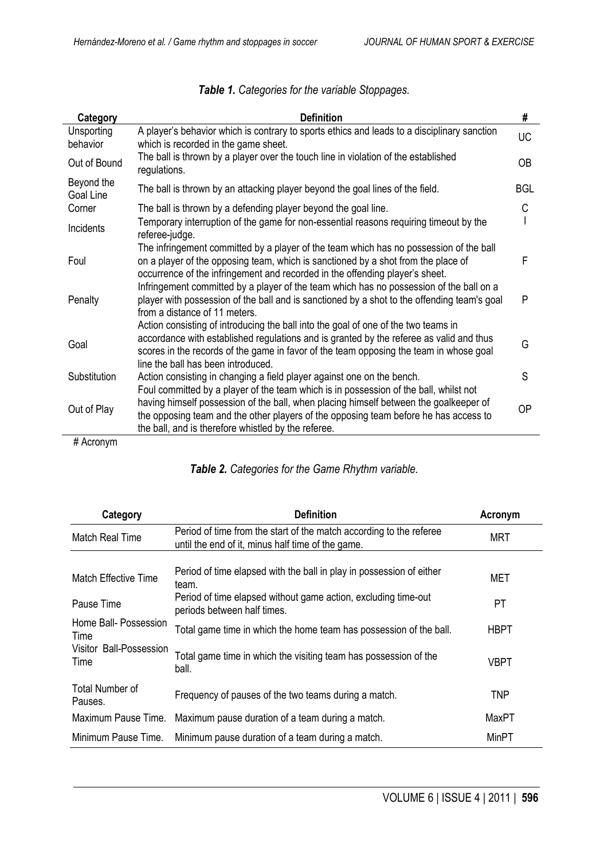<span id="page-2-0"></span>

| <b>Category</b>                  | <b>Definition</b>                                                                                                                                                                                                                                                                                                             | #          |
|----------------------------------|-------------------------------------------------------------------------------------------------------------------------------------------------------------------------------------------------------------------------------------------------------------------------------------------------------------------------------|------------|
| Unsporting<br>behavior           | A player's behavior which is contrary to sports ethics and leads to a disciplinary sanction<br>which is recorded in the game sheet.                                                                                                                                                                                           | <b>UC</b>  |
| Out of Bound                     | The ball is thrown by a player over the touch line in violation of the established<br>regulations.                                                                                                                                                                                                                            | <b>OB</b>  |
| Beyond the<br>Goal Line          | The ball is thrown by an attacking player beyond the goal lines of the field.                                                                                                                                                                                                                                                 | <b>BGL</b> |
| Corner                           | The ball is thrown by a defending player beyond the goal line.                                                                                                                                                                                                                                                                | C          |
| Incidents                        | Temporary interruption of the game for non-essential reasons requiring timeout by the<br>referee-judge.                                                                                                                                                                                                                       |            |
| Foul                             | The infringement committed by a player of the team which has no possession of the ball<br>on a player of the opposing team, which is sanctioned by a shot from the place of<br>occurrence of the infringement and recorded in the offending player's sheet.                                                                   | F          |
| Penalty                          | Infringement committed by a player of the team which has no possession of the ball on a<br>player with possession of the ball and is sanctioned by a shot to the offending team's goal<br>from a distance of 11 meters.                                                                                                       | P          |
| Goal                             | Action consisting of introducing the ball into the goal of one of the two teams in<br>accordance with established regulations and is granted by the referee as valid and thus<br>scores in the records of the game in favor of the team opposing the team in whose goal<br>line the ball has been introduced.                 | G          |
| Substitution                     | Action consisting in changing a field player against one on the bench.                                                                                                                                                                                                                                                        | S          |
| Out of Play<br>$\mu$ A analazing | Foul committed by a player of the team which is in possession of the ball, whilst not<br>having himself possession of the ball, when placing himself between the goalkeeper of<br>the opposing team and the other players of the opposing team before he has access to<br>the ball, and is therefore whistled by the referee. | <b>OP</b>  |

# Acronym

# *Table 2. Categories for the Game Rhythm variable.*

| Category                        | <b>Definition</b>                                                                                                        | Acronym    |
|---------------------------------|--------------------------------------------------------------------------------------------------------------------------|------------|
| Match Real Time                 | Period of time from the start of the match according to the referee<br>until the end of it, minus half time of the game. | <b>MRT</b> |
|                                 |                                                                                                                          |            |
| <b>Match Effective Time</b>     | Period of time elapsed with the ball in play in possession of either<br>team.                                            | MET        |
| Pause Time                      | Period of time elapsed without game action, excluding time-out<br>periods between half times.                            | PT         |
| Home Ball- Possession<br>Time   | Total game time in which the home team has possession of the ball.                                                       | HBPT       |
| Visitor Ball-Possession<br>Time | Total game time in which the visiting team has possession of the<br>ball.                                                | VBPT       |
| Total Number of<br>Pauses.      | Frequency of pauses of the two teams during a match.                                                                     | <b>TNP</b> |
| Maximum Pause Time.             | Maximum pause duration of a team during a match.                                                                         | MaxPT      |
| Minimum Pause Time.             | Minimum pause duration of a team during a match.                                                                         | MinPT      |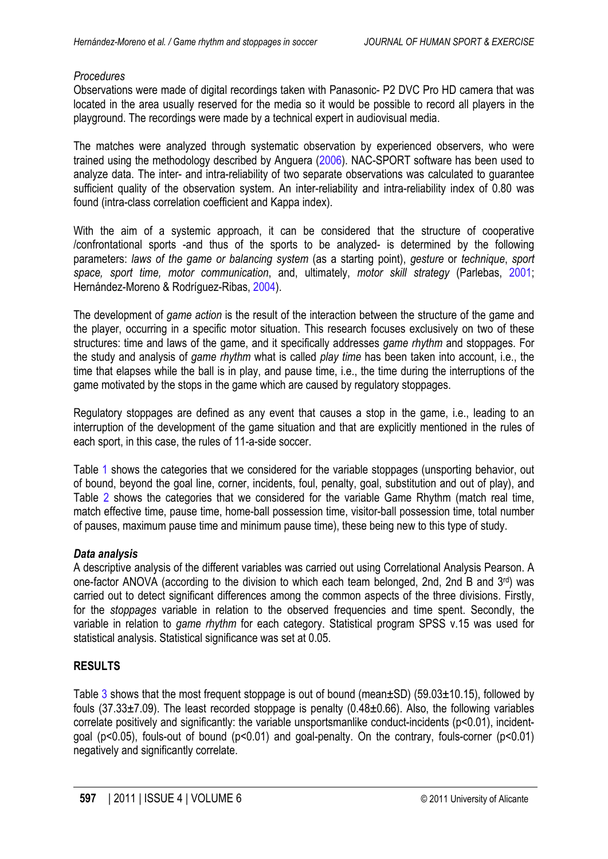## *Procedures*

Observations were made of digital recordings taken with Panasonic- P2 DVC Pro HD camera that was located in the area usually reserved for the media so it would be possible to record all players in the playground. The recordings were made by a technical expert in audiovisual media.

The matches were analyzed through systematic observation by experienced observers, who were trained using the methodology described by Anguera ([2006\)](#page-7-0). NAC-SPORT software has been used to analyze data. The inter- and intra-reliability of two separate observations was calculated to guarantee sufficient quality of the observation system. An inter-reliability and intra-reliability index of 0.80 was found (intra-class correlation coefficient and Kappa index).

With the aim of a systemic approach, it can be considered that the structure of cooperative /confrontational sports -and thus of the sports to be analyzed- is determined by the following parameters: *laws of the game or balancing system* (as a starting point), *gesture* or *technique*, *sport space, sport time, motor communication*, and, ultimately, *motor skill strategy* (Parlebas, [2001;](#page-8-0) Hernández-Moreno & Rodríguez-Ribas, [2004\)](#page-8-0).

The development of *game action* is the result of the interaction between the structure of the game and the player, occurring in a specific motor situation. This research focuses exclusively on two of these structures: time and laws of the game, and it specifically addresses *game rhythm* and stoppages. For the study and analysis of *game rhythm* what is called *play time* has been taken into account, i.e., the time that elapses while the ball is in play, and pause time, i.e., the time during the interruptions of the game motivated by the stops in the game which are caused by regulatory stoppages.

Regulatory stoppages are defined as any event that causes a stop in the game, i.e., leading to an interruption of the development of the game situation and that are explicitly mentioned in the rules of each sport, in this case, the rules of 11-a-side soccer.

Table 1 shows the categories that we considered for the variable stoppages (unsporting behavior, out of bound, beyond the goal line, corner, incidents, foul, penalty, goal, substitution and out of play), and Table 2 shows the categories that we considered for the variable Game Rhythm (match real time, match effective time, pause time, home-ball possession time, visitor-ball possession time, total number of pauses, maximum pause time and minimum pause time), these being new to this type of study.

# *Data analysis*

A descriptive analysis of the different variables was carried out using Correlational Analysis Pearson. A one-factor ANOVA (according to the division to which each team belonged, 2nd, 2nd B and 3<sup>rd</sup>) was carried out to detect significant differences among the common aspects of the three divisions. Firstly, for the *stoppages* variable in relation to the observed frequencies and time spent. Secondly, the variable in relation to *game rhythm* for each category. Statistical program SPSS v.15 was used for statistical analysis. Statistical significance was set at 0.05.

# **RESULTS**

Table [3](#page-4-0) shows that the most frequent stoppage is out of bound (mean $\pm$ SD) (59.03 $\pm$ 10.15), followed by fouls (37.33±7.09). The least recorded stoppage is penalty (0.48±0.66). Also, the following variables correlate positively and significantly: the variable unsportsmanlike conduct-incidents (p<0.01), incidentgoal (p<0.05), fouls-out of bound (p<0.01) and goal-penalty. On the contrary, fouls-corner (p<0.01) negatively and significantly correlate.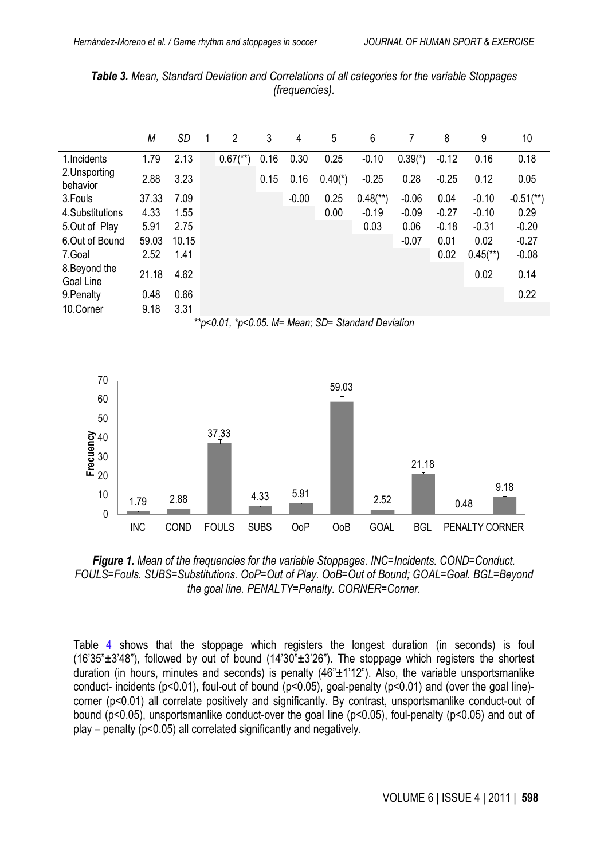|                            | M     | <b>SD</b> | -1 | $\overline{2}$         | 3    | 4       | 5         | 6                      | 7         | 8       | 9                      | 10                      |
|----------------------------|-------|-----------|----|------------------------|------|---------|-----------|------------------------|-----------|---------|------------------------|-------------------------|
| 1. Incidents               | 1.79  | 2.13      |    | $0.67$ <sup>**</sup> ) | 0.16 | 0.30    | 0.25      | $-0.10$                | $0.39(*)$ | $-0.12$ | 0.16                   | 0.18                    |
| 2. Unsporting<br>behavior  | 2.88  | 3.23      |    |                        | 0.15 | 0.16    | $0.40(*)$ | $-0.25$                | 0.28      | $-0.25$ | 0.12                   | 0.05                    |
| 3. Fouls                   | 37.33 | 7.09      |    |                        |      | $-0.00$ | 0.25      | $0.48$ <sup>**</sup> ) | $-0.06$   | 0.04    | $-0.10$                | $-0.51$ <sup>**</sup> ) |
| 4.Substitutions            | 4.33  | 1.55      |    |                        |      |         | 0.00      | $-0.19$                | $-0.09$   | $-0.27$ | $-0.10$                | 0.29                    |
| 5.Out of Play              | 5.91  | 2.75      |    |                        |      |         |           | 0.03                   | 0.06      | $-0.18$ | $-0.31$                | $-0.20$                 |
| 6.Out of Bound             | 59.03 | 10.15     |    |                        |      |         |           |                        | $-0.07$   | 0.01    | 0.02                   | $-0.27$                 |
| 7.Goal                     | 2.52  | 1.41      |    |                        |      |         |           |                        |           | 0.02    | $0.45$ <sup>**</sup> ) | $-0.08$                 |
| 8. Beyond the<br>Goal Line | 21.18 | 4.62      |    |                        |      |         |           |                        |           |         | 0.02                   | 0.14                    |
| 9. Penalty                 | 0.48  | 0.66      |    |                        |      |         |           |                        |           |         |                        | 0.22                    |
| 10.Corner                  | 9.18  | 3.31      |    |                        |      |         |           |                        |           |         |                        |                         |

<span id="page-4-0"></span>*Table 3. Mean, Standard Deviation and Correlations of all categories for the variable Stoppages (frequencies).*





*Figure 1. Mean of the frequencies for the variable Stoppages. INC=Incidents. COND=Conduct. FOULS=Fouls. SUBS=Substitutions. OoP=Out of Play. OoB=Out of Bound; GOAL=Goal. BGL=Beyond the goal line. PENALTY=Penalty. CORNER=Corner.*

Table [4](#page-5-0) shows that the stoppage which registers the longest duration (in seconds) is foul  $(16'35''\pm3'48'')$ , followed by out of bound  $(14'30''\pm3'26'')$ . The stoppage which registers the shortest duration (in hours, minutes and seconds) is penalty  $(46"±1'12")$ . Also, the variable unsportsmanlike conduct- incidents (p<0.01), foul-out of bound (p<0.05), goal-penalty (p<0.01) and (over the goal line) corner (p<0.01) all correlate positively and significantly. By contrast, unsportsmanlike conduct-out of bound (p<0.05), unsportsmanlike conduct-over the goal line (p<0.05), foul-penalty (p<0.05) and out of play – penalty (p<0.05) all correlated significantly and negatively.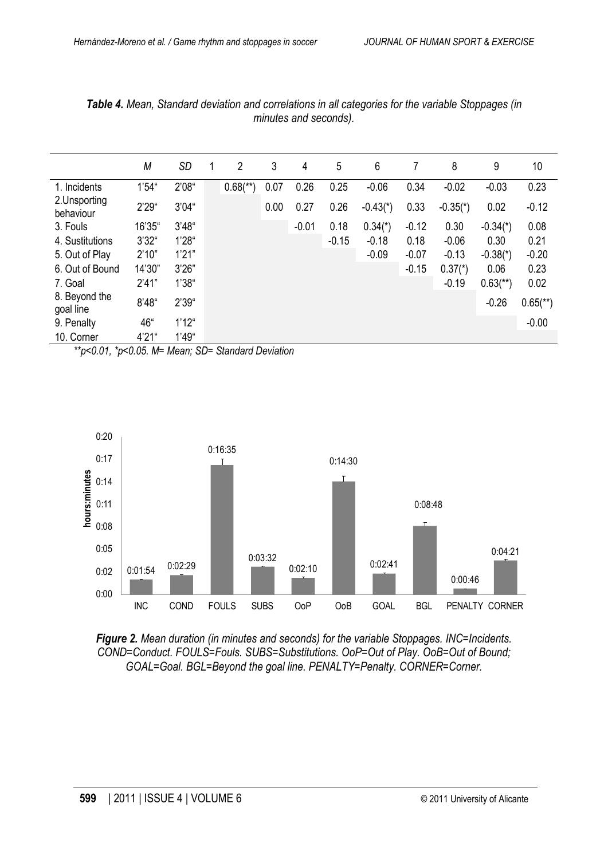|                            | M      | <b>SD</b> | $\overline{2}$         | 3    | 4       | 5       | 6          |         | 8          | 9                      | 10                     |
|----------------------------|--------|-----------|------------------------|------|---------|---------|------------|---------|------------|------------------------|------------------------|
| 1. Incidents               | 1'54'' | 2'08''    | $0.68$ <sup>**</sup> ) | 0.07 | 0.26    | 0.25    | $-0.06$    | 0.34    | $-0.02$    | $-0.03$                | 0.23                   |
| 2. Unsporting<br>behaviour | 2'29'' | 3'04''    |                        | 0.00 | 0.27    | 0.26    | $-0.43(*)$ | 0.33    | $-0.35(*)$ | 0.02                   | $-0.12$                |
| 3. Fouls                   | 16'35" | 3'48''    |                        |      | $-0.01$ | 0.18    | $0.34(*)$  | $-0.12$ | 0.30       | $-0.34(*)$             | 0.08                   |
| 4. Sustitutions            | 3'32"  | 1'28''    |                        |      |         | $-0.15$ | $-0.18$    | 0.18    | $-0.06$    | 0.30                   | 0.21                   |
| 5. Out of Play             | 2'10"  | 1'21"     |                        |      |         |         | $-0.09$    | $-0.07$ | $-0.13$    | $-0.38(*)$             | $-0.20$                |
| 6. Out of Bound            | 14'30" | 3'26"     |                        |      |         |         |            | $-0.15$ | $0.37*$    | 0.06                   | 0.23                   |
| 7. Goal                    | 2'41"  | 1'38''    |                        |      |         |         |            |         | $-0.19$    | $0.63$ <sup>**</sup> ) | 0.02                   |
| 8. Beyond the<br>goal line | 8'48'' | 2'39''    |                        |      |         |         |            |         |            | $-0.26$                | $0.65$ <sup>**</sup> ) |
| 9. Penalty                 | 46"    | 1'12''    |                        |      |         |         |            |         |            |                        | $-0.00$                |
| 10. Corner                 | 4'21'' | 1'49''    |                        |      |         |         |            |         |            |                        |                        |

<span id="page-5-0"></span>*Table 4. Mean, Standard deviation and correlations in all categories for the variable Stoppages (in minutes and seconds).*

*\*\*p<0.01, \*p<0.05. M= Mean; SD= Standard Deviation*



*Figure 2. Mean duration (in minutes and seconds) for the variable Stoppages. INC=Incidents. COND=Conduct. FOULS=Fouls. SUBS=Substitutions. OoP=Out of Play. OoB=Out of Bound; GOAL=Goal. BGL=Beyond the goal line. PENALTY=Penalty. CORNER=Corner.*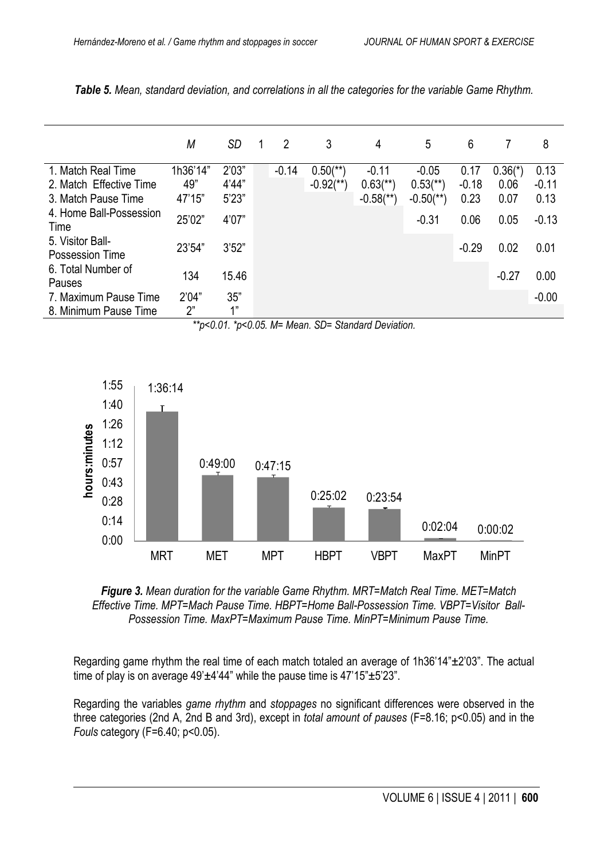|                                     | М        | <b>SD</b> | $\overline{2}$ | 3                       | 4                       | 5                       | 6       |           | 8       |
|-------------------------------------|----------|-----------|----------------|-------------------------|-------------------------|-------------------------|---------|-----------|---------|
| 1. Match Real Time                  | 1h36'14" | 2'03"     | $-0.14$        | $0.50$ <sup>**</sup> )  | $-0.11$                 | $-0.05$                 | 0.17    | $0.36(*)$ | 0.13    |
| 2. Match Effective Time             | 49"      | 4'44"     |                | $-0.92$ <sup>**</sup> ) | $0.63$ <sup>**</sup> )  | $0.53$ <sup>**</sup> )  | $-0.18$ | 0.06      | $-0.11$ |
| 3. Match Pause Time                 | 47'15"   | 5'23"     |                |                         | $-0.58$ <sup>**</sup> ) | $-0.50$ <sup>**</sup> ) | 0.23    | 0.07      | 0.13    |
| 4. Home Ball-Possession<br>Time     | 25'02"   | 4'07"     |                |                         |                         | $-0.31$                 | 0.06    | 0.05      | $-0.13$ |
| 5. Visitor Ball-<br>Possession Time | 23'54"   | 3'52"     |                |                         |                         |                         | $-0.29$ | 0.02      | 0.01    |
| 6. Total Number of<br>Pauses        | 134      | 15.46     |                |                         |                         |                         |         | $-0.27$   | 0.00    |
| 7. Maximum Pause Time               | 2'04"    | 35"       |                |                         |                         |                         |         |           | $-0.00$ |
| 8. Minimum Pause Time               | 2"       | 1"        |                |                         |                         |                         |         |           |         |

*Table 5. Mean, standard deviation, and correlations in all the categories for the variable Game Rhythm.*





*Figure 3. Mean duration for the variable Game Rhythm. MRT=Match Real Time. MET=Match Effective Time. MPT=Mach Pause Time. HBPT=Home Ball-Possession Time. VBPT=Visitor Ball-Possession Time. MaxPT=Maximum Pause Time. MinPT=Minimum Pause Time.*

Regarding game rhythm the real time of each match totaled an average of 1h36'14" $\pm$ 2'03". The actual time of play is on average  $49'±4'44''$  while the pause time is  $47'15''±5'23''$ .

Regarding the variables *game rhythm* and *stoppages* no significant differences were observed in the three categories (2nd A, 2nd B and 3rd), except in *total amount of pauses* (F=8.16; p<0.05) and in the *Fouls* category (F=6.40; p<0.05).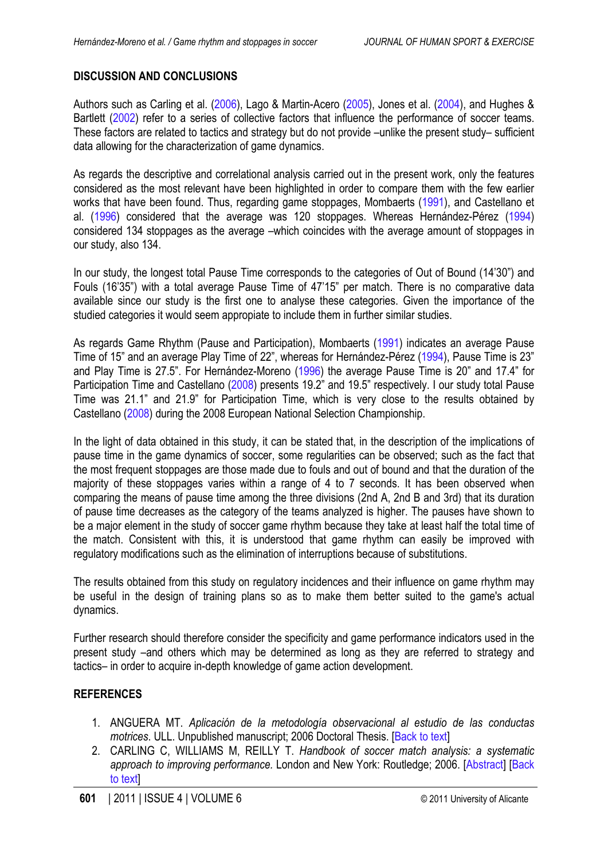# <span id="page-7-0"></span>**DISCUSSION AND CONCLUSIONS**

Authors such as Carling et al. (2006), Lago & Martin-Acero [\(2005](#page-8-0)), Jones et al. ([2004](#page-8-0)), and Hughes & Bartlett ([2002](#page-8-0)) refer to a series of collective factors that influence the performance of soccer teams. These factors are related to tactics and strategy but do not provide –unlike the present study– sufficient data allowing for the characterization of game dynamics.

As regards the descriptive and correlational analysis carried out in the present work, only the features considered as the most relevant have been highlighted in order to compare them with the few earlier works that have been found. Thus, regarding game stoppages, Mombaerts [\(1991](#page-8-0)), and Castellano et al. [\(1996](#page-8-0)) considered that the average was 120 stoppages. Whereas Hernández-Pérez [\(1994](#page-8-0)) considered 134 stoppages as the average –which coincides with the average amount of stoppages in our study, also 134.

In our study, the longest total Pause Time corresponds to the categories of Out of Bound (14'30") and Fouls (16'35") with a total average Pause Time of 47'15" per match. There is no comparative data available since our study is the first one to analyse these categories. Given the importance of the studied categories it would seem appropiate to include them in further similar studies.

As regards Game Rhythm (Pause and Participation), Mombaerts [\(1991](#page-8-0)) indicates an average Pause Time of 15" and an average Play Time of 22", whereas for Hernández-Pérez ([1994](#page-8-0)), Pause Time is 23" and Play Time is 27.5". For Hernández-Moreno [\(1996\)](#page-8-0) the average Pause Time is 20" and 17.4" for Participation Time and Castellano ([2008](#page-8-0)) presents 19.2" and 19.5" respectively. I our study total Pause Time was 21.1" and 21.9" for Participation Time, which is very close to the results obtained by Castellano [\(2008](#page-8-0)) during the 2008 European National Selection Championship.

In the light of data obtained in this study, it can be stated that, in the description of the implications of pause time in the game dynamics of soccer, some regularities can be observed; such as the fact that the most frequent stoppages are those made due to fouls and out of bound and that the duration of the majority of these stoppages varies within a range of 4 to 7 seconds. It has been observed when comparing the means of pause time among the three divisions (2nd A, 2nd B and 3rd) that its duration of pause time decreases as the category of the teams analyzed is higher. The pauses have shown to be a major element in the study of soccer game rhythm because they take at least half the total time of the match. Consistent with this, it is understood that game rhythm can easily be improved with regulatory modifications such as the elimination of interruptions because of substitutions.

The results obtained from this study on regulatory incidences and their influence on game rhythm may be useful in the design of training plans so as to make them better suited to the game's actual dynamics.

Further research should therefore consider the specificity and game performance indicators used in the present study –and others which may be determined as long as they are referred to strategy and tactics– in order to acquire in-depth knowledge of game action development.

## **REFERENCES**

- 1. ANGUERA MT. *Aplicación de la metodología observacional al estudio de las conductas motrices*. ULL. Unpublished manuscript; 2006 Doctoral Thesis. [\[Back to text\]](#page-1-0)
- 2. CARLING C, WILLIAMS M, REILLY T. *Handbook of soccer match analysis: a systematic approach to improving performance.* London and New York: Routledge; 2006. [\[Abstract\]](http://books.google.es/books?id=Lfqq6NdzA3QC&printsec=frontcover&dq=Handbook+of+soccer+match+analysis:+a+systematic+approach+to+improving+performance&hl=es&ei=RofkTpiSF4KohAflgcH_AQ&sa=X&oi=book_result&ct=result&resnum=1&ved=0CDMQ6AEwAA#v=onepage&q=Handbook%20of%20soccer%20match%20analysis%3A%20a%20systematic%20approach%20to%20improving%20performance&f=false) [Back to text]